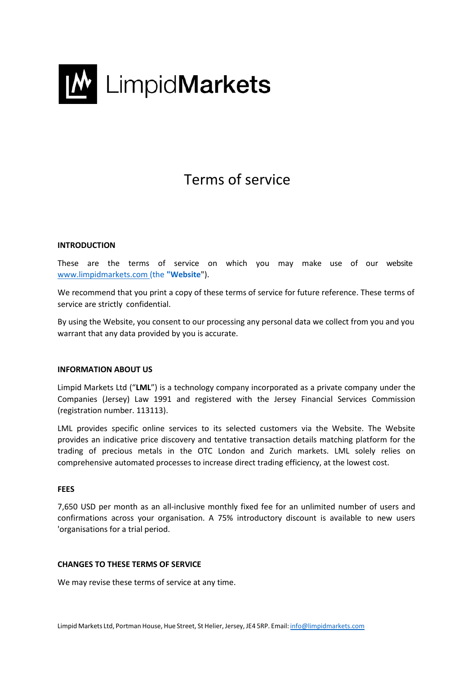

# Terms of service

# **INTRODUCTION**

These are the terms of service on which you may make use of our website [www.limpidmarkets.com \(](http://www.limpidmarkets.com/)the **"Website**").

We recommend that you print a copy of these terms of service for future reference. These terms of service are strictly confidential.

By using the Website, you consent to our processing any personal data we collect from you and you warrant that any data provided by you is accurate.

#### **INFORMATION ABOUT US**

Limpid Markets Ltd ("**LML**") is a technology company incorporated as a private company under the Companies (Jersey) Law 1991 and registered with the Jersey Financial Services Commission (registration number. 113113).

LML provides specific online services to its selected customers via the Website. The Website provides an indicative price discovery and tentative transaction details matching platform for the trading of precious metals in the OTC London and Zurich markets. LML solely relies on comprehensive automated processes to increase direct trading efficiency, at the lowest cost.

#### **FEES**

7,650 USD per month as an all-inclusive monthly fixed fee for an unlimited number of users and confirmations across your organisation. A 75% introductory discount is available to new users 'organisations for a trial period.

## **CHANGES TO THESE TERMS OF SERVICE**

We may revise these terms of service at any time.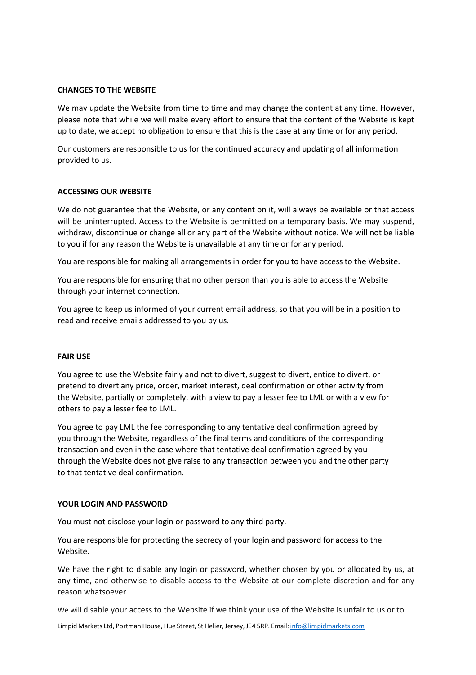# **CHANGES TO THE WEBSITE**

We may update the Website from time to time and may change the content at any time. However, please note that while we will make every effort to ensure that the content of the Website is kept up to date, we accept no obligation to ensure that this is the case at any time or for any period.

Our customers are responsible to us for the continued accuracy and updating of all information provided to us.

# **ACCESSING OUR WEBSITE**

We do not guarantee that the Website, or any content on it, will always be available or that access will be uninterrupted. Access to the Website is permitted on a temporary basis. We may suspend, withdraw, discontinue or change all or any part of the Website without notice. We will not be liable to you if for any reason the Website is unavailable at any time or for any period.

You are responsible for making all arrangements in order for you to have access to the Website.

You are responsible for ensuring that no other person than you is able to access the Website through your internet connection.

You agree to keep us informed of your current email address, so that you will be in a position to read and receive emails addressed to you by us.

# **FAIR USE**

You agree to use the Website fairly and not to divert, suggest to divert, entice to divert, or pretend to divert any price, order, market interest, deal confirmation or other activity from the Website, partially or completely, with a view to pay a lesser fee to LML or with a view for others to pay a lesser fee to LML.

You agree to pay LML the fee corresponding to any tentative deal confirmation agreed by you through the Website, regardless of the final terms and conditions of the corresponding transaction and even in the case where that tentative deal confirmation agreed by you through the Website does not give raise to any transaction between you and the other party to that tentative deal confirmation.

## **YOUR LOGIN AND PASSWORD**

You must not disclose your login or password to any third party.

You are responsible for protecting the secrecy of your login and password for access to the Website.

We have the right to disable any login or password, whether chosen by you or allocated by us, at any time, and otherwise to disable access to the Website at our complete discretion and for any reason whatsoever*.*

We will disable your access to the Website if we think your use of the Website is unfair to us or to

Limpid Markets Ltd, Portman House, Hue Street, St Helier, Jersey, JE4 5RP. Email: [info@limpidmarkets.com](mailto:info@limpidmarkets.com)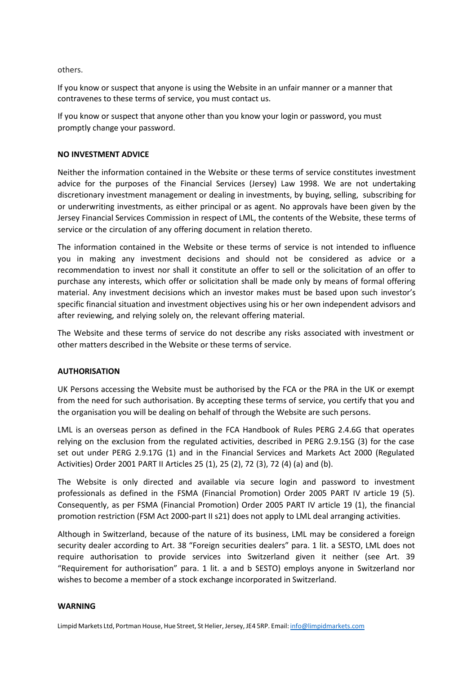others.

If you know or suspect that anyone is using the Website in an unfair manner or a manner that contravenes to these terms of service, you must contact us.

If you know or suspect that anyone other than you know your login or password, you must promptly change your password.

## **NO INVESTMENT ADVICE**

Neither the information contained in the Website or these terms of service constitutes investment advice for the purposes of the Financial Services (Jersey) Law 1998. We are not undertaking discretionary investment management or dealing in investments, by buying, selling, subscribing for or underwriting investments, as either principal or as agent. No approvals have been given by the Jersey Financial Services Commission in respect of LML, the contents of the Website, these terms of service or the circulation of any offering document in relation thereto.

The information contained in the Website or these terms of service is not intended to influence you in making any investment decisions and should not be considered as advice or a recommendation to invest nor shall it constitute an offer to sell or the solicitation of an offer to purchase any interests, which offer or solicitation shall be made only by means of formal offering material. Any investment decisions which an investor makes must be based upon such investor's specific financial situation and investment objectives using his or her own independent advisors and after reviewing, and relying solely on, the relevant offering material.

The Website and these terms of service do not describe any risks associated with investment or other matters described in the Website or these terms of service.

# **AUTHORISATION**

UK Persons accessing the Website must be authorised by the FCA or the PRA in the UK or exempt from the need for such authorisation. By accepting these terms of service, you certify that you and the organisation you will be dealing on behalf of through the Website are such persons.

LML is an overseas person as defined in the FCA Handbook of Rules PERG 2.4.6G that operates relying on the exclusion from the regulated activities, described in PERG 2.9.15G (3) for the case set out under PERG 2.9.17G (1) and in the Financial Services and Markets Act 2000 (Regulated Activities) Order 2001 PART II Articles 25 (1), 25 (2), 72 (3), 72 (4) (a) and (b).

The Website is only directed and available via secure login and password to investment professionals as defined in the FSMA (Financial Promotion) Order 2005 PART IV article 19 (5). Consequently, as per FSMA (Financial Promotion) Order 2005 PART IV article 19 (1), the financial promotion restriction (FSM Act 2000-part II s21) does not apply to LML deal arranging activities.

Although in Switzerland, because of the nature of its business, LML may be considered a foreign security dealer according to Art. 38 "Foreign securities dealers" para. 1 lit. a SESTO, LML does not require authorisation to provide services into Switzerland given it neither (see Art. 39 "Requirement for authorisation" para. 1 lit. a and b SESTO) employs anyone in Switzerland nor wishes to become a member of a stock exchange incorporated in Switzerland.

#### **WARNING**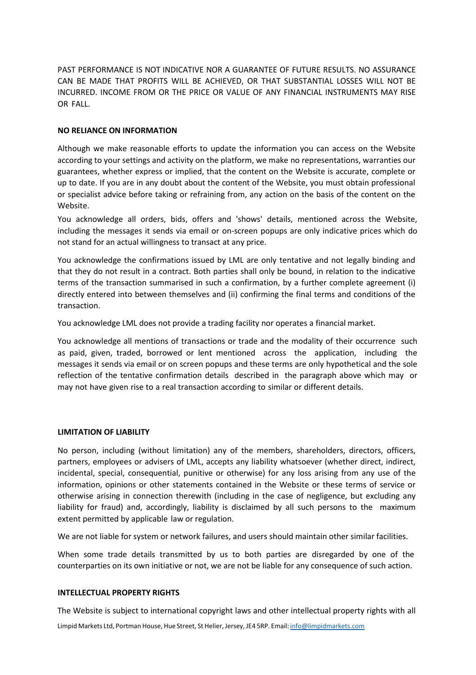PAST PERFORMANCE IS NOT INDICATIVE NOR A GUARANTEE OF FUTURE RESULTS. NO ASSURANCE CAN BE MADE THAT PROFITS WILL BE ACHIEVED, OR THAT SUBSTANTIAL LOSSES WILL NOT BE INCURRED. INCOME FROM OR THE PRICE OR VALUE OF ANY FINANCIAL INSTRUMENTS MAY RISE OR FALL.

## **NO RELIANCE ON INFORMATION**

Although we make reasonable efforts to update the information you can access on the Website according to your settings and activity on the platform, we make no representations, warranties our guarantees, whether express or implied, that the content on the Website is accurate, complete or up to date. If you are in any doubt about the content of the Website, you must obtain professional or specialist advice before taking or refraining from, any action on the basis of the content on the Website.

You acknowledge all orders, bids, offers and 'shows' details, mentioned across the Website, including the messages it sends via email or on-screen popups are only indicative prices which do not stand for an actual willingness to transact at any price.

You acknowledge the confirmations issued by LML are only tentative and not legally binding and that they do not result in a contract. Both parties shall only be bound, in relation to the indicative terms of the transaction summarised in such a confirmation, by a further complete agreement (i) directly entered into between themselves and (ii) confirming the final terms and conditions of the transaction.

You acknowledge LML does not provide a trading facility nor operates a financial market.

You acknowledge all mentions of transactions or trade and the modality of their occurrence such as paid, given, traded, borrowed or lent mentioned across the application, including the messages it sends via email or on screen popups and these terms are only hypothetical and the sole reflection of the tentative confirmation details described in the paragraph above which may or may not have given rise to a real transaction according to similar or different details.

#### **LIMITATION OF LIABILITY**

No person, including (without limitation) any of the members, shareholders, directors, officers, partners, employees or advisers of LML, accepts any liability whatsoever (whether direct, indirect, incidental, special, consequential, punitive or otherwise) for any loss arising from any use of the information, opinions or other statements contained in the Website or these terms of service or otherwise arising in connection therewith (including in the case of negligence, but excluding any liability for fraud) and, accordingly, liability is disclaimed by all such persons to the maximum extent permitted by applicable law or regulation.

We are not liable for system or network failures, and users should maintain other similar facilities.

When some trade details transmitted by us to both parties are disregarded by one of the counterparties on its own initiative or not, we are not be liable for any consequence of such action.

# **INTELLECTUAL PROPERTY RIGHTS**

The Website is subject to international copyright laws and other intellectual property rights with all

Limpid Markets Ltd, Portman House, Hue Street, St Helier, Jersey, JE4 5RP. Email: [info@limpidmarkets.com](mailto:info@limpidmarkets.com)